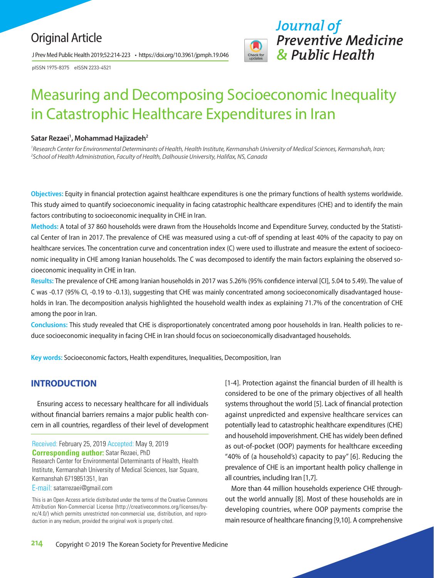# Original Article

J Prev Med Public Health 2019;52:214-223 • https://doi.org/10.3961/jpmph.19.046

pISSN 1975-8375 eISSN 2233-4521



# Measuring and Decomposing Socioeconomic Inequality in Catastrophic Healthcare Expenditures in Iran

## Satar Rezaei<sup>1</sup>, Mohammad Hajizadeh<sup>2</sup>

<sup>1</sup> Research Center for Environmental Determinants of Health, Health Institute, Kermanshah University of Medical Sciences, Kermanshah, Iran; *2 School of Health Administration, Faculty of Health, Dalhousie University, Halifax, NS, Canada*

**Objectives:** Equity in financial protection against healthcare expenditures is one the primary functions of health systems worldwide. This study aimed to quantify socioeconomic inequality in facing catastrophic healthcare expenditures (CHE) and to identify the main factors contributing to socioeconomic inequality in CHE in Iran.

**Methods:** A total of 37 860 households were drawn from the Households Income and Expenditure Survey, conducted by the Statistical Center of Iran in 2017. The prevalence of CHE was measured using a cut-off of spending at least 40% of the capacity to pay on healthcare services. The concentration curve and concentration index (C) were used to illustrate and measure the extent of socioeconomic inequality in CHE among Iranian households. The C was decomposed to identify the main factors explaining the observed socioeconomic inequality in CHE in Iran.

**Results:** The prevalence of CHE among Iranian households in 2017 was 5.26% (95% confidence interval [CI], 5.04 to 5.49). The value of C was -0.17 (95% CI, -0.19 to -0.13), suggesting that CHE was mainly concentrated among socioeconomically disadvantaged households in Iran. The decomposition analysis highlighted the household wealth index as explaining 71.7% of the concentration of CHE among the poor in Iran.

**Conclusions:** This study revealed that CHE is disproportionately concentrated among poor households in Iran. Health policies to reduce socioeconomic inequality in facing CHE in Iran should focus on socioeconomically disadvantaged households.

**Key words:** Socioeconomic factors, Health expenditures, Inequalities, Decomposition, Iran

# **INTRODUCTION**

Ensuring access to necessary healthcare for all individuals without financial barriers remains a major public health concern in all countries, regardless of their level of development

Received: February 25, 2019 Accepted: May 9, 2019 **Corresponding author:** Satar Rezaei, PhD Research Center for Environmental Determinants of Health, Health Institute, Kermanshah University of Medical Sciences, Isar Square, Kermanshah 6719851351, Iran

E-mail: satarrezaei@gmail.com

This is an Open Access article distributed under the terms of the Creative Commons Attribution Non-Commercial License (http://creativecommons.org/licenses/bync/4.0/) which permits unrestricted non-commercial use, distribution, and reproduction in any medium, provided the original work is properly cited.

[1-4]. Protection against the financial burden of ill health is considered to be one of the primary objectives of all health systems throughout the world [5]. Lack of financial protection against unpredicted and expensive healthcare services can potentially lead to catastrophic healthcare expenditures (CHE) and household impoverishment. CHE has widely been defined as out-of-pocket (OOP) payments for healthcare exceeding "40% of (a household's) capacity to pay" [6]. Reducing the prevalence of CHE is an important health policy challenge in all countries, including Iran [1,7].

More than 44 million households experience CHE throughout the world annually [8]. Most of these households are in developing countries, where OOP payments comprise the main resource of healthcare financing [9,10]. A comprehensive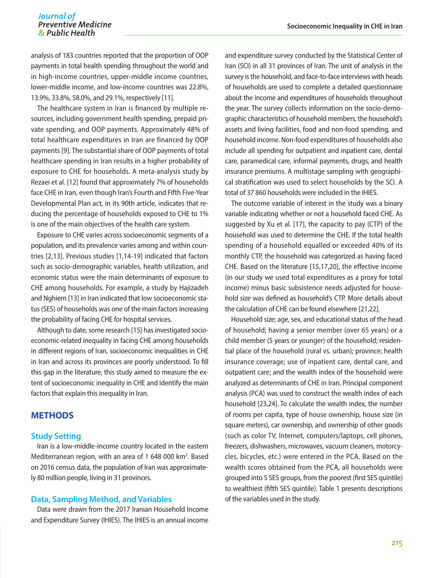# Journal of *Preventive Medicine*<br>*Socioeconomic Inequality in CHE in Iran*<br>*Socioeconomic Inequality in CHE in Iran*

analysis of 183 countries reported that the proportion of OOP payments in total health spending throughout the world and in high-income countries, upper-middle income countries, lower-middle income, and low-income countries was 22.8%, 13.9%, 33.8%, 58.0%, and 29.1%, respectively [11].

The healthcare system in Iran is financed by multiple resources, including government health spending, prepaid private spending, and OOP payments. Approximately 48% of total healthcare expenditures in Iran are financed by OOP payments [9]. The substantial share of OOP payments of total healthcare spending in Iran results in a higher probability of exposure to CHE for households. A meta-analysis study by Rezaei et al. [12] found that approximately 7% of households face CHE in Iran, even though Iran's Fourth and Fifth Five-Year Developmental Plan act, in its 90th article, indicates that reducing the percentage of households exposed to CHE to 1% is one of the main objectives of the health care system.

Exposure to CHE varies across socioeconomic segments of a population, and its prevalence varies among and within countries [2,13]. Previous studies [1,14-19] indicated that factors such as socio-demographic variables, health utilization, and economic status were the main determinants of exposure to CHE among households. For example, a study by Hajizadeh and Nghiem [13] in Iran indicated that low socioeconomic status (SES) of households was one of the main factors increasing the probability of facing CHE for hospital services.

Although to date, some research [15] has investigated socioeconomic-related inequality in facing CHE among households in different regions of Iran, socioeconomic inequalities in CHE in Iran and across its provinces are poorly understood. To fill this gap in the literature, this study aimed to measure the extent of socioeconomic inequality in CHE and identify the main factors that explain this inequality in Iran.

# **METHODS**

#### **Study Setting**

Iran is a low-middle-income country located in the eastern Mediterranean region, with an area of 1 648 000 km<sup>2</sup>. Based on 2016 census data, the population of Iran was approximately 80 million people, living in 31 provinces.

#### **Data, Sampling Method, and Variables**

Data were drawn from the 2017 Iranian Household Income and Expenditure Survey (IHIES). The IHIES is an annual income and expenditure survey conducted by the Statistical Center of Iran (SCI) in all 31 provinces of Iran. The unit of analysis in the survey is the household, and face-to-face interviews with heads of households are used to complete a detailed questionnaire about the income and expenditures of households throughout the year. The survey collects information on the socio-demographic characteristics of household members, the household's assets and living facilities, food and non-food spending, and household income. Non-food expenditures of households also include all spending for outpatient and inpatient care, dental care, paramedical care, informal payments, drugs, and health insurance premiums. A multistage sampling with geographical stratification was used to select households by the SCI. A total of 37 860 households were included in the IHIES.

The outcome variable of interest in the study was a binary variable indicating whether or not a household faced CHE. As suggested by Xu et al. [17], the capacity to pay (CTP) of the household was used to determine the CHE. If the total health spending of a household equalled or exceeded 40% of its monthly CTP, the household was categorized as having faced CHE. Based on the literature [15,17,20], the effective income (in our study we used total expenditures as a proxy for total income) minus basic subsistence needs adjusted for household size was defined as household's CTP. More details about the calculation of CHE can be found elsewhere [21,22].

Household size; age, sex, and educational status of the head of household; having a senior member (over 65 years) or a child member (5 years or younger) of the household; residential place of the household (rural vs. urban); province; health insurance coverage; use of inpatient care, dental care, and outpatient care; and the wealth index of the household were analyzed as determinants of CHE in Iran. Principal component analysis (PCA) was used to construct the wealth index of each household [23,24]. To calculate the wealth index, the number of rooms per capita, type of house ownership, house size (in square meters), car ownership, and ownership of other goods (such as color TV, Internet, computers/laptops, cell phones, freezers, dishwashers, microwaves, vacuum cleaners, motorcycles, bicycles, etc.) were entered in the PCA. Based on the wealth scores obtained from the PCA, all households were grouped into 5 SES groups, from the poorest (first SES quintile) to wealthiest (fifth SES quintile). Table 1 presents descriptions of the variables used in the study.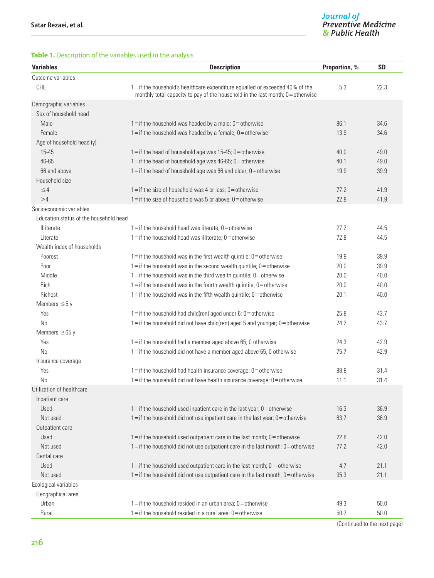## **Table 1.** Description of the variables used in the analysis

| <b>Variables</b>                       | <b>Description</b>                                                                                                                                           | Proportion, % | <b>SD</b> |
|----------------------------------------|--------------------------------------------------------------------------------------------------------------------------------------------------------------|---------------|-----------|
| Outcome variables                      |                                                                                                                                                              |               |           |
| <b>CHE</b>                             | 1=if the household's healthcare expenditure equalled or exceeded 40% of the<br>monthly total capacity to pay of the household in the last month; 0=otherwise | 5.3           | 22.3      |
| Demographic variables                  |                                                                                                                                                              |               |           |
| Sex of household head                  |                                                                                                                                                              |               |           |
| Male                                   | $1 =$ if the household was headed by a male; $0 =$ otherwise                                                                                                 | 86.1          | 34.6      |
| Female                                 | $1 =$ if the household was headed by a female; $0 =$ otherwise                                                                                               | 13.9          | 34.6      |
| Age of household head (y)              |                                                                                                                                                              |               |           |
| 15-45                                  | $1 =$ if the head of household age was 15-45; $0 =$ otherwise                                                                                                | 40.0          | 49.0      |
| 46-65                                  | $1 =$ if the head of household age was 46-65; $0 =$ otherwise                                                                                                | 40.1          | 49.0      |
| 66 and above                           | $1 =$ if the head of household age was 66 and older; $0 =$ otherwise                                                                                         | 19.9          | 39.9      |
| Household size                         |                                                                                                                                                              |               |           |
| $\leq 4$                               | $1 =$ if the size of household was 4 or less; $0 =$ otherwise                                                                                                | 77.2          | 41.9      |
| >4                                     | $1 =$ if the size of household was 5 or above; $0 =$ otherwise                                                                                               | 22.8          | 41.9      |
| Socioeconomic variables                |                                                                                                                                                              |               |           |
| Education status of the household head |                                                                                                                                                              |               |           |
| Illiterate                             | $1 =$ if the household head was literate; $0 =$ otherwise                                                                                                    | 27.2          | 44.5      |
| Literate                               | $1 =$ if the household head was illiterate; $0 =$ otherwise                                                                                                  | 72.8          | 44.5      |
| Wealth index of households             |                                                                                                                                                              |               |           |
| Poorest                                | $1 =$ if the household was in the first wealth quintile; $0 =$ otherwise                                                                                     | 19.9          | 39.9      |
| Poor                                   | $1 =$ if the household was in the second wealth quintile; $0 =$ otherwise                                                                                    | 20.0          | 39.9      |
| Middle                                 | $1 =$ if the household was in the third wealth quintile; $0 =$ otherwise                                                                                     | 20.0          | 40.0      |
| Rich                                   | $1 =$ if the household was in the fourth wealth quintile; $0 =$ otherwise                                                                                    | 20.0          | 40.0      |
| Richest                                | $1 =$ if the household was in the fifth wealth quintile; $0 =$ otherwise                                                                                     | 20.1          | 40.0      |
| Members $\leq$ 5 y                     |                                                                                                                                                              |               |           |
| Yes                                    | $1 =$ if the household had child(ren) aged under 6; $0 =$ otherwise                                                                                          | 25.8          | 43.7      |
| <b>No</b>                              | $1 =$ if the household did not have child(ren) aged 5 and younger; $0 =$ otherwise                                                                           | 74.2          | 43.7      |
| Members $\geq 65$ y                    |                                                                                                                                                              |               |           |
| Yes                                    | 1=if the household had a member aged above 65, 0 otherwise                                                                                                   | 24.3          | 42.9      |
| <b>No</b>                              | 1=if the household did not have a member aged above 65, 0 otherwise                                                                                          | 75.7          | 42.9      |
| Insurance coverage                     |                                                                                                                                                              |               |           |
| Yes                                    | $1 =$ if the household had health insurance coverage; $0 =$ otherwise                                                                                        | 88.9          | 31.4      |
| No                                     | $1 =$ if the household did not have health insurance coverage; $0 =$ otherwise                                                                               | 11.1          | 31.4      |
| Utilization of healthcare              |                                                                                                                                                              |               |           |
| Inpatient care                         |                                                                                                                                                              |               |           |
| Used                                   | $1 =$ if the household used inpatient care in the last year; $0 =$ otherwise                                                                                 | 16.3          | 36.9      |
| Not used                               | $1 =$ if the household did not use inpatient care in the last year; $0 =$ otherwise                                                                          | 83.7          | 36.9      |
| Outpatient care                        |                                                                                                                                                              |               |           |
| Used                                   | $1 =$ if the household used outpatient care in the last month; $0 =$ otherwise                                                                               | 22.8          | 42.0      |
| Not used                               | $1 =$ if the household did not use outpatient care in the last month; $0 =$ otherwise                                                                        | 77.2          | 42.0      |
| Dental care                            |                                                                                                                                                              |               |           |
| Used                                   | $1 =$ if the household used outpatient care in the last month; $0 =$ otherwise                                                                               | 4.7           | 21.1      |
| Not used                               | $1 =$ if the household did not use outpatient care in the last month; $0 =$ otherwise                                                                        | 95.3          | 21.1      |
| Ecological variables                   |                                                                                                                                                              |               |           |
| Geographical area                      |                                                                                                                                                              |               |           |
| Urban                                  | $1 =$ if the household resided in an urban area; $0 =$ otherwise                                                                                             | 49.3          | 50.0      |
| Rural                                  | $1 =$ if the household resided in a rural area; $0 =$ otherwise                                                                                              | 50.7          | $50.0$    |

(Continued to the next page)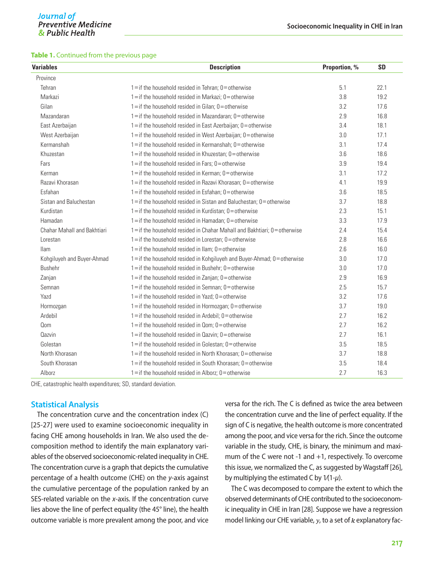| <b>Variables</b>            | <b>Description</b>                                                             |     | <b>SD</b> |
|-----------------------------|--------------------------------------------------------------------------------|-----|-----------|
| Province                    |                                                                                |     |           |
| Tehran                      | $1 =$ if the household resided in Tehran; $0 =$ otherwise                      | 5.1 | 22.1      |
| Markazi                     | $1 =$ if the household resided in Markazi; $0 =$ otherwise                     | 3.8 | 19.2      |
| Gilan                       | $1 =$ if the household resided in Gilan; $0 =$ otherwise                       | 3.2 | 17.6      |
| Mazandaran                  | $1 =$ if the household resided in Mazandaran; $0 =$ otherwise                  | 2.9 | 16.8      |
| East Azerbaijan             | 1=if the household resided in East Azerbaijan; 0=otherwise                     | 3.4 | 18.1      |
| West Azerbaijan             | $1 =$ if the household resided in West Azerbaijan; $0 =$ otherwise             | 3.0 | 17.1      |
| Kermanshah                  | $1 =$ if the household resided in Kermanshah; $0 =$ otherwise                  | 3.1 | 17.4      |
| Khuzestan                   | $1 =$ if the household resided in Khuzestan; $0 =$ otherwise                   | 3.6 | 18.6      |
| Fars                        | $1 =$ if the household resided in Fars: $0 =$ otherwise                        | 3.9 | 19.4      |
| Kerman                      | $1 =$ if the household resided in Kerman; $0 =$ otherwise                      | 3.1 | 17.2      |
| Razavi Khorasan             | $1 =$ if the household resided in Razavi Khorasan; $0 =$ otherwise             | 4.1 | 19.9      |
| Esfahan                     | $1 =$ if the household resided in Esfahan; $0 =$ otherwise                     | 3.6 | 18.5      |
| Sistan and Baluchestan      | $1 =$ if the household resided in Sistan and Baluchestan: $0 =$ otherwise      | 3.7 | 18.8      |
| Kurdistan                   | $1 =$ if the household resided in Kurdistan; $0 =$ otherwise                   | 2.3 | 15.1      |
| Hamadan                     | $1 =$ if the household resided in Hamadan; $0 =$ otherwise                     | 3.3 | 17.9      |
| Chahar Mahall and Bakhtiari | $1 =$ if the household resided in Chahar Mahall and Bakhtiari; $0 =$ otherwise | 2.4 | 15.4      |
| Lorestan                    | $1 =$ if the household resided in Lorestan; $0 =$ otherwise                    | 2.8 | 16.6      |
| <b>Ilam</b>                 | $1 =$ if the household resided in Ilam; $0 =$ otherwise                        | 2.6 | 16.0      |
| Kohgiluyeh and Buyer-Ahmad  | $1 =$ if the household resided in Kohgiluyeh and Buyer-Ahmad; $0 =$ otherwise  | 3.0 | 17.0      |
| Bushehr                     | $1 =$ if the household resided in Bushehr; $0 =$ otherwise                     | 3.0 | 17.0      |
| Zanjan                      | $1 =$ if the household resided in Zanjan; $0 =$ otherwise                      | 2.9 | 16.9      |
| Semnan                      | $1 =$ if the household resided in Semnan; $0 =$ otherwise                      | 2.5 | 15.7      |
| Yazd                        | $1 =$ if the household resided in Yazd; $0 =$ otherwise                        | 3.2 | 17.6      |
| Hormozgan                   | $1 =$ if the household resided in Hormozgan; $0 =$ otherwise                   | 3.7 | 19.0      |
| Ardebil                     | $1 =$ if the household resided in Ardebil; $0 =$ otherwise                     | 2.7 | 16.2      |
| Qom                         | $1 =$ if the household resided in Qom; $0 =$ otherwise                         | 2.7 | 16.2      |
| Qazvin                      | $1 =$ if the household resided in Qazvin; $0 =$ otherwise                      | 2.7 | 16.1      |
| Golestan                    | $1 =$ if the household resided in Golestan; $0 =$ otherwise                    | 3.5 | 18.5      |
| North Khorasan              | $1 =$ if the household resided in North Khorasan: $0 =$ otherwise              | 3.7 | 18.8      |
| South Khorasan              | $1 =$ if the household resided in South Khorasan; $0 =$ otherwise              | 3.5 | 18.4      |
| Alborz                      | $1 =$ if the household resided in Alborz; $0 =$ otherwise                      | 2.7 | 16.3      |

CHE, catastrophic health expenditures; SD, standard deviation.

#### **Statistical Analysis**

The concentration curve and the concentration index (C) [25-27] were used to examine socioeconomic inequality in facing CHE among households in Iran. We also used the decomposition method to identify the main explanatory variables of the observed socioeconomic-related inequality in CHE. The concentration curve is a graph that depicts the cumulative percentage of a health outcome (CHE) on the *y*-axis against the cumulative percentage of the population ranked by an SES-related variable on the *x*-axis. If the concentration curve lies above the line of perfect equality (the 45° line), the health outcome variable is more prevalent among the poor, and vice versa for the rich. The C is defined as twice the area between the concentration curve and the line of perfect equality. If the sign of C is negative, the health outcome is more concentrated among the poor, and vice versa for the rich. Since the outcome variable in the study, CHE, is binary, the minimum and maximum of the C were not -1 and +1, respectively. To overcome this issue, we normalized the C, as suggested by Wagstaff [26], by multiplying the estimated C by 1⁄(1-*μ*).

The C was decomposed to compare the extent to which the observed determinants of CHE contributed to the socioeconomic inequality in CHE in Iran [28]. Suppose we have a regression model linking our CHE variable,  $y$ , to a set of  $k$  explanatory fac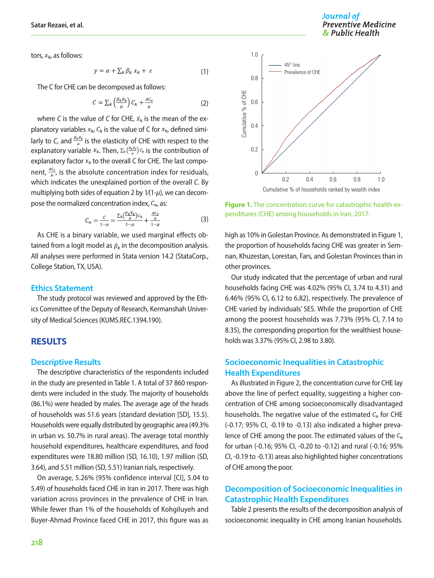tors,  $x_k$ , as follows:

$$
y = \alpha + \sum_{k} \beta_{k} x_{k} + \varepsilon \tag{1}
$$

The C for CHE can be decomposed as follows:

$$
C = \sum_{k} \left( \frac{\beta_k \bar{x}_k}{\mu} \right) C_k + \frac{AC_{\varepsilon}}{\mu} \tag{2}
$$

where *C* is the value of *C* for CHE,  $\bar{x}_k$  is the mean of the explanatory variables  $x_{k}$ ,  $C_{k}$  is the value of C for  $x_{k}$ , defined similarly to *C*, and  $\frac{\beta_k \bar{x}_k}{\mu}$  is the elasticity of CHE with respect to the explanatory variable  $x_k$ . Then,  $\sum_k \left(\frac{\beta_k \bar{x}_k}{\mu}\right) C_k$  is the contribution of explanatory factor  $x_k$  to the overall C for CHE. The last component,  $\frac{AC_{e}}{\mu}$ , is the absolute concentration index for residuals, which indicates the unexplained portion of the overall *C*. By multiplying both sides of equation 2 by 1⁄(1-*μ*), we can decompose the normalized concentration index,  $C_{n_i}$  as:

$$
C_n = \frac{c}{1-\mu} = \frac{\sum_{k} \left(\frac{\beta_k \overline{x}_k}{\mu}\right) c_k}{1-\mu} + \frac{\frac{AC_{\varepsilon}}{\mu}}{1-\mu}
$$
(3)

As CHE is a binary variable, we used marginal effects obtained from a logit model as  $\beta_k$  in the decomposition analysis. All analyses were performed in Stata version 14.2 (StataCorp., College Station, TX, USA).

#### **Ethics Statement**

The study protocol was reviewed and approved by the Ethics Committee of the Deputy of Research, Kermanshah University of Medical Sciences (KUMS.REC.1394.190).

## **RESULTS**

#### **Descriptive Results**

The descriptive characteristics of the respondents included in the study are presented in Table 1. A total of 37 860 respondents were included in the study. The majority of households (86.1%) were headed by males. The average age of the heads of households was 51.6 years (standard deviation [SD], 15.5). Households were equally distributed by geographic area (49.3% in urban vs. 50.7% in rural areas). The average total monthly household expenditures, healthcare expenditures, and food expenditures were 18.80 million (SD, 16.10), 1.97 million (SD, 3.64), and 5.51 million (SD, 5.51) Iranian rials, respectively.

On average, 5.26% (95% confidence interval [CI], 5.04 to 5.49) of households faced CHE in Iran in 2017. There was high variation across provinces in the prevalence of CHE in Iran. While fewer than 1% of the households of Kohgiluyeh and Buyer-Ahmad Province faced CHE in 2017, this figure was as



**Figure 1.** The concentration curve for catastrophic health expenditures (CHE) among households in Iran, 2017.

high as 10% in Golestan Province. As demonstrated in Figure 1, the proportion of households facing CHE was greater in Semnan, Khuzestan, Lorestan, Fars, and Golestan Provinces than in other provinces.

Our study indicated that the percentage of urban and rural households facing CHE was 4.02% (95% CI, 3.74 to 4.31) and 6.46% (95% CI, 6.12 to 6.82), respectively. The prevalence of CHE varied by individuals' SES. While the proportion of CHE among the poorest households was 7.73% (95% CI, 7.14 to 8.35), the corresponding proportion for the wealthiest households was 3.37% (95% CI, 2.98 to 3.80).

# **Socioeconomic Inequalities in Catastrophic Health Expenditures**

As illustrated in Figure 2, the concentration curve for CHE lay above the line of perfect equality, suggesting a higher concentration of CHE among socioeconomically disadvantaged households. The negative value of the estimated  $C_n$  for CHE (-0.17; 95% CI, -0.19 to -0.13) also indicated a higher prevalence of CHE among the poor. The estimated values of the  $C_n$ for urban (-0.16; 95% CI, -0.20 to -0.12) and rural (-0.16; 95% CI, -0.19 to -0.13) areas also highlighted higher concentrations of CHE among the poor.

# **Decomposition of Socioeconomic Inequalities in Catastrophic Health Expenditures**

Table 2 presents the results of the decomposition analysis of socioeconomic inequality in CHE among Iranian households.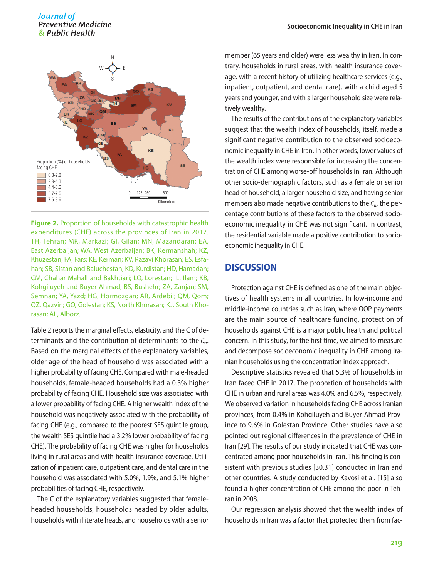#### Journal of **Preventive Medicine** & Public Health



**Figure 2.** Proportion of households with catastrophic health expenditures (CHE) across the provinces of Iran in 2017. TH, Tehran; MK, Markazi; GI, Gilan; MN, Mazandaran; EA, East Azerbaijan; WA, West Azerbaijan; BK, Kermanshah; KZ, Khuzestan; FA, Fars; KE, Kerman; KV, Razavi Khorasan; ES, Esfahan; SB, Sistan and Baluchestan; KD, Kurdistan; HD, Hamadan; CM, Chahar Mahall and Bakhtiari; LO, Lorestan; IL, Ilam; KB, Kohgiluyeh and Buyer-Ahmad; BS, Bushehr; ZA, Zanjan; SM, Semnan; YA, Yazd; HG, Hormozgan; AR, Ardebil; QM, Qom; QZ, Qazvin; GO, Golestan; KS, North Khorasan; KJ, South Khorasan; AL, Alborz.

Table 2 reports the marginal effects, elasticity, and the C of determinants and the contribution of determinants to the  $C_n$ . Based on the marginal effects of the explanatory variables, older age of the head of household was associated with a higher probability of facing CHE. Compared with male-headed households, female-headed households had a 0.3% higher probability of facing CHE. Household size was associated with a lower probability of facing CHE. A higher wealth index of the household was negatively associated with the probability of facing CHE (e.g., compared to the poorest SES quintile group, the wealth SES quintile had a 3.2% lower probability of facing CHE). The probability of facing CHE was higher for households living in rural areas and with health insurance coverage. Utilization of inpatient care, outpatient care, and dental care in the household was associated with 5.0%, 1.9%, and 5.1% higher probabilities of facing CHE, respectively.

The C of the explanatory variables suggested that femaleheaded households, households headed by older adults, households with illiterate heads, and households with a senior

member (65 years and older) were less wealthy in Iran. In contrary, households in rural areas, with health insurance coverage, with a recent history of utilizing healthcare services (e.g., inpatient, outpatient, and dental care), with a child aged 5 years and younger, and with a larger household size were relatively wealthy.

The results of the contributions of the explanatory variables suggest that the wealth index of households, itself, made a significant negative contribution to the observed socioeconomic inequality in CHE in Iran. In other words, lower values of the wealth index were responsible for increasing the concentration of CHE among worse-off households in Iran. Although other socio-demographic factors, such as a female or senior head of household, a larger household size, and having senior members also made negative contributions to the  $C_{n}$ , the percentage contributions of these factors to the observed socioeconomic inequality in CHE was not significant. In contrast, the residential variable made a positive contribution to socioeconomic inequality in CHE.

# **DISCUSSION**

Protection against CHE is defined as one of the main objectives of health systems in all countries. In low-income and middle-income countries such as Iran, where OOP payments are the main source of healthcare funding, protection of households against CHE is a major public health and political concern. In this study, for the first time, we aimed to measure and decompose socioeconomic inequality in CHE among Iranian households using the concentration index approach.

Descriptive statistics revealed that 5.3% of households in Iran faced CHE in 2017. The proportion of households with CHE in urban and rural areas was 4.0% and 6.5%, respectively. We observed variation in households facing CHE across Iranian provinces, from 0.4% in Kohgiluyeh and Buyer-Ahmad Province to 9.6% in Golestan Province. Other studies have also pointed out regional differences in the prevalence of CHE in Iran [29]. The results of our study indicated that CHE was concentrated among poor households in Iran. This finding is consistent with previous studies [30,31] conducted in Iran and other countries. A study conducted by Kavosi et al. [15] also found a higher concentration of CHE among the poor in Tehran in 2008.

Our regression analysis showed that the wealth index of households in Iran was a factor that protected them from fac-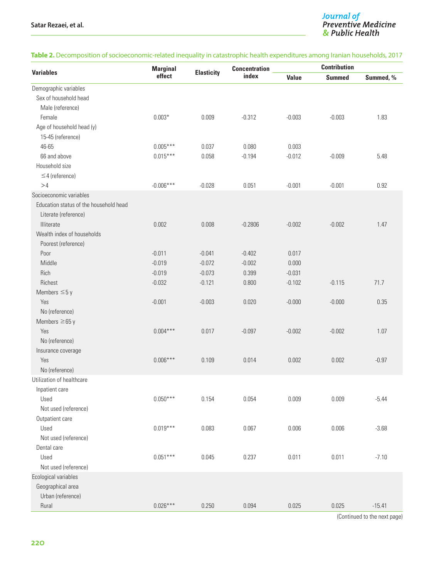## **Table 2.** Decomposition of socioeconomic-related inequality in catastrophic health expenditures among Iranian households, 2017

| <b>Variables</b>                       | <b>Marginal</b><br>effect |                   | <b>Concentration</b><br>index | <b>Contribution</b> |               |           |
|----------------------------------------|---------------------------|-------------------|-------------------------------|---------------------|---------------|-----------|
|                                        |                           | <b>Elasticity</b> |                               | <b>Value</b>        | <b>Summed</b> | Summed, % |
| Demographic variables                  |                           |                   |                               |                     |               |           |
| Sex of household head                  |                           |                   |                               |                     |               |           |
| Male (reference)                       |                           |                   |                               |                     |               |           |
| Female                                 | $0.003*$                  | 0.009             | $-0.312$                      | $-0.003$            | $-0.003$      | 1.83      |
| Age of household head (y)              |                           |                   |                               |                     |               |           |
| 15-45 (reference)                      |                           |                   |                               |                     |               |           |
| 46-65                                  | $0.005***$                | 0.037             | 0.080                         | 0.003               |               |           |
| 66 and above                           | $0.015***$                | 0.058             | $-0.194$                      | $-0.012$            | $-0.009$      | 5.48      |
| Household size                         |                           |                   |                               |                     |               |           |
| $\leq$ 4 (reference)                   |                           |                   |                               |                     |               |           |
| >4                                     | $-0.006***$               | $-0.028$          | 0.051                         | $-0.001$            | $-0.001$      | 0.92      |
| Socioeconomic variables                |                           |                   |                               |                     |               |           |
| Education status of the household head |                           |                   |                               |                     |               |           |
| Literate (reference)                   |                           |                   |                               |                     |               |           |
| Illiterate                             | 0.002                     | 0.008             | $-0.2806$                     | $-0.002$            | $-0.002$      | 1.47      |
| Wealth index of households             |                           |                   |                               |                     |               |           |
| Poorest (reference)                    |                           |                   |                               |                     |               |           |
| Poor                                   | $-0.011$                  | $-0.041$          | $-0.402$                      | 0.017               |               |           |
| Middle                                 | $-0.019$                  | $-0.072$          | $-0.002$                      | 0.000               |               |           |
| Rich                                   | $-0.019$                  | $-0.073$          | 0.399                         | $-0.031$            |               |           |
| Richest                                | $-0.032$                  | $-0.121$          | 0.800                         | $-0.102$            | $-0.115$      | 71.7      |
| Members $\leq$ 5 y                     |                           |                   |                               |                     |               |           |
| Yes                                    | $-0.001$                  | $-0.003$          | 0.020                         | $-0.000$            | $-0.000$      | 0.35      |
| No (reference)                         |                           |                   |                               |                     |               |           |
| Members $\geq 65$ y                    |                           |                   |                               |                     |               |           |
| Yes                                    | $0.004***$                | 0.017             | $-0.097$                      | $-0.002$            | $-0.002$      | 1.07      |
| No (reference)                         |                           |                   |                               |                     |               |           |
| Insurance coverage                     |                           |                   |                               |                     |               |           |
| Yes                                    | $0.006***$                | 0.109             | 0.014                         | 0.002               | 0.002         | $-0.97$   |
| No (reference)                         |                           |                   |                               |                     |               |           |
| Utilization of healthcare              |                           |                   |                               |                     |               |           |
| Inpatient care                         |                           |                   |                               |                     |               |           |
| Used                                   | $0.050***$                | 0.154             | 0.054                         | 0.009               | 0.009         | $-5.44$   |
| Not used (reference)                   |                           |                   |                               |                     |               |           |
| Outpatient care                        |                           |                   |                               |                     |               |           |
| Used                                   | $0.019***$                | 0.083             | 0.067                         | 0.006               | 0.006         | $-3.68$   |
| Not used (reference)                   |                           |                   |                               |                     |               |           |
| Dental care                            |                           |                   |                               |                     |               |           |
| Used                                   | $0.051***$                | 0.045             | 0.237                         | 0.011               | 0.011         | $-7.10$   |
| Not used (reference)                   |                           |                   |                               |                     |               |           |
| Ecological variables                   |                           |                   |                               |                     |               |           |
| Geographical area                      |                           |                   |                               |                     |               |           |
| Urban (reference)                      |                           |                   |                               |                     |               |           |
| Rural                                  | $0.026***$                | 0.250             | 0.094                         | 0.025               | 0.025         | $-15.41$  |

(Continued to the next page)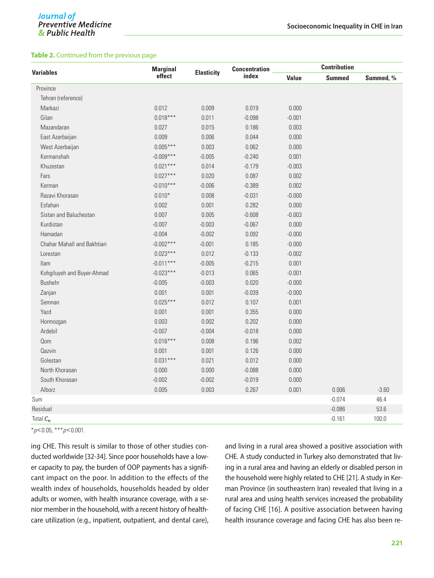#### **Table 2.** Continued from the previous page

| <b>Variables</b>            | <b>Marginal</b><br>effect |                   | <b>Concentration</b><br>index | <b>Contribution</b> |               |           |
|-----------------------------|---------------------------|-------------------|-------------------------------|---------------------|---------------|-----------|
|                             |                           | <b>Elasticity</b> |                               | <b>Value</b>        | <b>Summed</b> | Summed, % |
| Province                    |                           |                   |                               |                     |               |           |
| Tehran (reference)          |                           |                   |                               |                     |               |           |
| Markazi                     | 0.012                     | 0.009             | 0.019                         | 0.000               |               |           |
| Gilan                       | $0.018***$                | 0.011             | $-0.098$                      | $-0.001$            |               |           |
| Mazandaran                  | 0.027                     | 0.015             | 0.186                         | 0.003               |               |           |
| East Azerbaijan             | 0.009                     | 0.006             | 0.044                         | 0.000               |               |           |
| West Azerbaijan             | $0.005***$                | 0.003             | 0.062                         | 0.000               |               |           |
| Kermanshah                  | $-0.009***$               | $-0.005$          | $-0.240$                      | 0.001               |               |           |
| Khuzestan                   | $0.021***$                | 0.014             | $-0.179$                      | $-0.003$            |               |           |
| Fars                        | $0.027***$                | 0.020             | 0.087                         | 0.002               |               |           |
| Kerman                      | $-0.010***$               | $-0.006$          | $-0.389$                      | 0.002               |               |           |
| Razavi Khorasan             | $0.010*$                  | 0.008             | $-0.031$                      | $-0.000$            |               |           |
| Esfahan                     | 0.002                     | 0.001             | 0.282                         | 0.000               |               |           |
| Sistan and Baluchestan      | 0.007                     | 0.005             | $-0.608$                      | $-0.003$            |               |           |
| Kurdistan                   | $-0.007$                  | $-0.003$          | $-0.067$                      | 0.000               |               |           |
| Hamadan                     | $-0.004$                  | $-0.002$          | 0.092                         | $-0.000$            |               |           |
| Chahar Mahall and Bakhtiari | $-0.002***$               | $-0.001$          | 0.185                         | $-0.000$            |               |           |
| Lorestan                    | $0.023***$                | 0.012             | $-0.133$                      | $-0.002$            |               |           |
| <b>Ilam</b>                 | $-0.011***$               | $-0.005$          | $-0.215$                      | 0.001               |               |           |
| Kohgiluyeh and Buyer-Ahmad  | $-0.023***$               | $-0.013$          | 0.065                         | $-0.001$            |               |           |
| <b>Bushehr</b>              | $-0.005$                  | $-0.003$          | 0.020                         | $-0.000$            |               |           |
| Zanjan                      | 0.001                     | 0.001             | $-0.039$                      | $-0.000$            |               |           |
| Semnan                      | $0.025***$                | 0.012             | 0.107                         | 0.001               |               |           |
| Yazd                        | 0.001                     | 0.001             | 0.355                         | 0.000               |               |           |
| Hormozgan                   | 0.003                     | 0.002             | 0.202                         | 0.000               |               |           |
| Ardebil                     | $-0.007$                  | $-0.004$          | $-0.018$                      | 0.000               |               |           |
| Qom                         | $0.016***$                | 0.008             | 0.196                         | 0.002               |               |           |
| Qazvin                      | 0.001                     | 0.001             | 0.126                         | 0.000               |               |           |
| Golestan                    | $0.031***$                | 0.021             | 0.012                         | 0.000               |               |           |
| North Khorasan              | 0.000                     | 0.000             | $-0.088$                      | 0.000               |               |           |
| South Khorasan              | $-0.002$                  | $-0.002$          | $-0.019$                      | 0.000               |               |           |
| Alborz                      | 0.005                     | 0.003             | 0.267                         | 0.001               | 0.006         | $-3.60$   |
| Sum                         |                           |                   |                               |                     | $-0.074$      | 46.4      |
| Residual                    |                           |                   |                               |                     | $-0.086$      | 53.6      |
| Total $C_n$                 |                           |                   |                               |                     | $-0.161$      | 100.0     |

\**p*<0.05, \*\*\**p*<0.001.

ing CHE. This result is similar to those of other studies conducted worldwide [32-34]. Since poor households have a lower capacity to pay, the burden of OOP payments has a significant impact on the poor. In addition to the effects of the wealth index of households, households headed by older adults or women, with health insurance coverage, with a senior member in the household, with a recent history of healthcare utilization (e.g., inpatient, outpatient, and dental care), and living in a rural area showed a positive association with CHE. A study conducted in Turkey also demonstrated that living in a rural area and having an elderly or disabled person in the household were highly related to CHE [21]. A study in Kerman Province (in southeastern Iran) revealed that living in a rural area and using health services increased the probability of facing CHE [16]. A positive association between having health insurance coverage and facing CHE has also been re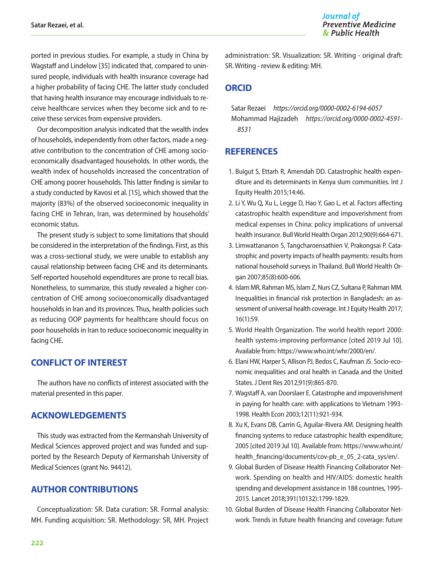ported in previous studies. For example, a study in China by Wagstaff and Lindelow [35] indicated that, compared to uninsured people, individuals with health insurance coverage had a higher probability of facing CHE. The latter study concluded that having health insurance may encourage individuals to receive healthcare services when they become sick and to receive these services from expensive providers.

Our decomposition analysis indicated that the wealth index of households, independently from other factors, made a negative contribution to the concentration of CHE among socioeconomically disadvantaged households. In other words, the wealth index of households increased the concentration of CHE among poorer households. This latter finding is similar to a study conducted by Kavosi et al. [15], which showed that the majority (83%) of the observed socioeconomic inequality in facing CHE in Tehran, Iran, was determined by households' economic status.

The present study is subject to some limitations that should be considered in the interpretation of the findings. First, as this was a cross-sectional study, we were unable to establish any causal relationship between facing CHE and its determinants. Self-reported household expenditures are prone to recall bias. Nonetheless, to summarize, this study revealed a higher concentration of CHE among socioeconomically disadvantaged households in Iran and its provinces. Thus, health policies such as reducing OOP payments for healthcare should focus on poor households in Iran to reduce socioeconomic inequality in facing CHE.

# **CONFLICT OF INTEREST**

The authors have no conflicts of interest associated with the material presented in this paper.

# **ACKNOWLEDGEMENTS**

This study was extracted from the Kermanshah University of Medical Sciences approved project and was funded and supported by the Research Deputy of Kermanshah University of Medical Sciences (grant No. 94412).

# **AUTHOR CONTRIBUTIONS**

Conceptualization: SR. Data curation: SR. Formal analysis: MH. Funding acquisition: SR. Methodology: SR, MH. Project administration: SR. Visualization: SR. Writing - original draft: SR. Writing - review & editing: MH.

# **ORCID**

Satar Rezaei *https://orcid.org/0000-0002-6194-6057* Mohammad Hajizadeh *https://orcid.org/0000-0002-4591- 8531*

# **REFERENCES**

- 1. Buigut S, Ettarh R, Amendah DD. Catastrophic health expenditure and its determinants in Kenya slum communities. Int J Equity Health 2015;14:46.
- 2. Li Y, Wu Q, Xu L, Legge D, Hao Y, Gao L, et al. Factors affecting catastrophic health expenditure and impoverishment from medical expenses in China: policy implications of universal health insurance. Bull World Health Organ 2012;90(9):664-671.
- 3. Limwattananon S, Tangcharoensathien V, Prakongsai P. Catastrophic and poverty impacts of health payments: results from national household surveys in Thailand. Bull World Health Organ 2007;85(8):600-606.
- 4. Islam MR, Rahman MS, Islam Z, Nurs CZ, Sultana P, Rahman MM. Inequalities in financial risk protection in Bangladesh: an assessment of universal health coverage. Int J Equity Health 2017; 16(1):59.
- 5. World Health Organization. The world health report 2000: health systems-improving performance [cited 2019 Jul 10]. Available from: https://www.who.int/whr/2000/en/.
- 6. Elani HW, Harper S, Allison PJ, Bedos C, Kaufman JS. Socio-economic inequalities and oral health in Canada and the United States. J Dent Res 2012;91(9):865-870.
- 7. Wagstaff A, van Doorslaer E. Catastrophe and impoverishment in paying for health care: with applications to Vietnam 1993- 1998. Health Econ 2003;12(11):921-934.
- 8. Xu K, Evans DB, Carrin G, Aguilar-Rivera AM. Designing health financing systems to reduce catastrophic health expenditure; 2005 [cited 2019 Jul 10]. Available from: https://www.who.int/ health\_financing/documents/cov-pb\_e\_05\_2-cata\_sys/en/.
- 9. Global Burden of Disease Health Financing Collaborator Network. Spending on health and HIV/AIDS: domestic health spending and development assistance in 188 countries, 1995- 2015. Lancet 2018;391(10132):1799-1829.
- 10. Global Burden of Disease Health Financing Collaborator Network. Trends in future health financing and coverage: future